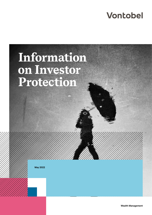# **Vontobel**

# **Information on Investor Protection**

**May 2022**

**Wealth Management**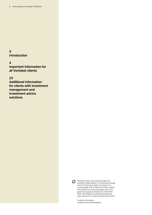**3 Introduction**

**4**

**Important information for all Vontobel clients**

**13**

**Additional information for clients with investment management and investment advice solutions**



Vontobel uses only recycled paper for printing. It takes about 1.5 times less energy and 2.5 times less water to produce recycled paper than it does to produce paper from fresh fiber. Recycled paper also cuts greenhouse gas emissions by more than 20%. We offset the remaining emissions with various  $CO<sub>2</sub>$  projects around the world.

Further information: vontobel.com/sustainability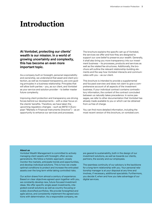## **Introduction**

**At Vontobel, protecting our clients' wealth is our mission. In a world of growing uncertainty and complexity, this has become an even more important topic.**

As a company built on foresight, personal responsibility and ownership, we understand that asset and client protection, as well as increased transparency, are core guiding principles in a business relationship. Principles that will allow both parties – you, as our client, and Vontobel as your service and solution provider – to better master future complexity.

Improving client protection and transparency are driving forces behind our developments – with a clear focus on the clients' benefits. Therefore, we have taken the upcoming regulatory changes – such as MiFID II (European "Markets in Financial Instruments Directive") – as an opportunity to enhance our services and processes.

The brochure explains the specific set-up of Vontobel, the services we offer and how they are designed to support our core belief to preserve your wealth. Generally, it shall also bring you more transparency into our investment business – its processes, products and services as well as the related fee structures. Additionally, the brochure will outline the relevant relationship-building elements and the way how Vontobel interacts and communicates with you – as our client.

This brochure is intended to provide a supplemental and focused overview and does not claim to give a comprehensive account of all aspects of the investment business. If your individual contract contains contradictory information, the content of the contract concluded between us naturally takes precedence. In some passages, we refer to other documentation that Vontobel has already made available to you or which can be obtained from us free of charge.

You can find more detailed information, including the most recent version of this brochure, on vontobel.com.

#### **About us**

Vontobel Wealth Management is committed to actively managing client assets with foresight, often across generations. We follow a holistic approach, closely monitor the markets, anticipate trends and opportunities, and develop individual solutions. This is how we create optimal conditions to protect and increase the entrusted assets over the long term while taking controlled risks.

Our action draws from almost a century of experience. Based on clear objectives agreed upon together with you, we constantly develop new, future-focused investment ideas. We offer specific single asset investments, integrated overall solutions as well as country-focusing or widely diversified portfolios. We provide foresighted and agile advice, and consistently implement the agreed solutions with determination. As a responsible company, we

are geared to sustainability, both in the design of our investment solutions, as well as towards our clients, partners, the society and our employees.

The seamless continuity of our advisory is the backbone for a long-term relationship with you. Your personal relationship manager is at your disposal at any time and involves, if necessary, additional specialists. Furthermore, you decide if, when and how you take advantage of our digital services.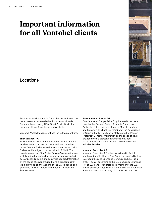# **Important information for all Vontobel clients**

### **Locations**

Besides its headquarters in Zurich Switzerland, Vontobel has a presence in several other locations worldwide: Germany, Luxembourg, USA, Great Britain, Spain, Italy, Singapore, Hong Kong, Dubai and Australia.

Vontobel Wealth Management has the following entities:

#### **Bank Vontobel AG**

Bank Vontobel AG is headquartered in Zurich and has received authorization to act as a bank and securities dealer from the Swiss federal financial market authority FINMA, and is subject to supervision by FINMA. The bank is a member of the Swiss Bankers' Association and is affiliated to the deposit guarantee scheme operated by Switzerland's banks and securities dealers. Information on the scope of cover provided by this deposit guarantee is provided on the website of the Swiss Banks' and Securities Dealers' Depositor Protection Association (esisuisse.ch).

#### **Bank Vontobel Europe AG**

Bank Vontobel Europe AG is fully licensed to act as a bank by the German Federal Financial Supervisory Authority (BaFin), and has offices in Munich, Hamburg and Frankfurt. The bank is a member of the Association of German Banks (EdB) and is affiliated to the Deposit Protection Scheme. Information on the scope of cover provided by this deposit guarantee is provided on the website of the Association of German Banks (edb-banken.de).

#### **Vontobel Securities AG**

Vontobel Securities AG is headquartered in Zurich and has a branch office in New York. It is licensed by the U.S. Securities and Exchange Commission (SEC) as a broker /dealer according to the U.S. Securities Exchange Act of 1934 and is registered as a member of the U.S. Financial Industry Regulatory Authority (FINRA). Vontobel Securities AG is a subsidiary of Vontobel Holding AG.

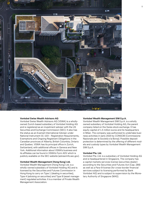

#### **Vontobel Swiss Wealth Advisors AG**

Vontobel Swiss Wealth Advisors AG (VSWA) is a whollyowned Zurich-based subsidiary of Vontobel Holding AG and is registered as an investment adviser with the US Securities and Exchange Commission (SEC). It also has the status as an Exempt International Adviser under National Instrument 31–103 – Registration Requirements, Exemptions and Ongoing Registrant Obligations in the Canadian provinces of Alberta, British Columbia, Ontario and Quebec. VSWA has its principal office in Zurich, Switzerland, with additional offices in Geneva and New York. Additional information about VSWA's business and its affiliates can be found in VSWA's Form ADV which is publicly available on the SEC website (adviserinfo.sec.gov).

#### **Vontobel Wealth Management (Hong Kong) Ltd.**

Vontobel Wealth Management (Hong Kong) Ltd. is a wholly-owned subsidiary of Vontobel Holding AG and is licensed by the Securities and Futures Commission in Hong Kong to carry on Type 1 (dealing in securities), Type 4 (advising on securities) and Type 9 (asset management) regulated activities. It is a member of Private Wealth Management Association.

#### **Vontobel Wealth Management SIM S.p.A.**

Vontobel Wealth Management SIM S.p.A. is a wholly owned subsidiary of Vontobel Holding AG, the parent company listed on the Swiss stock exchange. It has equity capital of 1.5 million euros and its headquarters in Milan. The company was authorized to undertake business activities in early 2020 by CONSOB (Commissione Nazionale per le Società e la Borsa). Possible deposit protection is determined by the offering of different models and custody types by Vontobel Wealth Management SIM S.p.A.

#### **Vontobel Pte. Ltd.**

Vontobel Pte. Ltd. is a subsidiary of Vontobel Holding AG and is headquartered in Singapore. The company has a capital markets services license (securities dealer) according to the Securities and Futures Act (Cap. 289) as well as a Para-9 license (for cross-border financial services subject to licensing performed by Bank Vontobel AG) and is subject to supervision by the Monetary Authority of Singapore (MAS).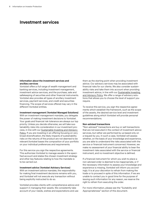### **Investment services**

#### **Information about the investment services and ancillary services**

Vontobel offers a full range of wealth management and banking services, including investment management, investment advice services, and the purchase, sale and safekeeping of securities and other financial instruments. Vontobel also provides all types of ancillary investment services, payment services, and credit and securities financing. The scope of services offered may vary in the different Vontobel entities.

#### **Investment management (Vontobel Managed Solutions)**

With an investment management mandate, you delegate the power of making investment decisions to Vontobel. Your goals and financial risk tolerance are always our top priority. Unless you decide otherwise, we will take sustainability risks into consideration in our investment process, in line with our [Sustainable Investing and Advisory](https://www.vontobel.com/en-de/about-vontobel/responsibility/principles-and-policies/)  [Policy.](https://www.vontobel.com/en-de/about-vontobel/responsibility/principles-and-policies/) If you are investing in an offering focusing on very broad diversification, the likely impacts of sustainability risks on the returns of the product are not deemed to be relevant.Vontobel bases the composition of your portfolio on your individual preferences and requirements.

For this service you sign the respective agreements. This authorizes Vontobel to manage assets in the specified account and states the chosen investment strategy and other key features relating to how the mandate is to be carried out.

**Investment advice (Vontobel Advisory Services)** With an investment advice mandate, the responsibility for making final investment decisions remains with you, and Vontobel will not execute any transaction without being explicitly instructed to do so.

Vontobel provides clients with comprehensive advice and support in managing their assets. We consistently take account of your needs, wishes and expectations and use

them as the starting point when providing investment advice. Our advisory services may be associated with financial risks for our clients. We also consider sustainability risks and take them into account when providing investment advice, in line with our [Sustainable Investing](https://www.vontobel.com/en-de/about-vontobel/responsibility/principles-and-policies/)  [and Advisory Policy.](https://www.vontobel.com/en-de/about-vontobel/responsibility/principles-and-policies/) We offer a range of advisory solutions that allows you to choose the level of support you require.

To receive this service, you sign the respective agreements which establish the framework, such as the scope of the assets, the desired service level and investment guidelines along which Vontobel will provide personal recommendations.

#### **Non-advised transactions**

"Non-advised" transactions are buy or sell transactions that are not executed in the context of investment advice services, but rather are performed by us based only on a request by you. In such a case, Vontobel will assess whether, on the basis of your knowledge and experience, you are able to understand the risks associated with the service or financial instrument concerned. However, we make no assessment of your financial ability to bear the investment risks associated with the service or financial instrument, and no investment objective is defined.

If a financial instrument for which you wish to place a non-advised order is deemed to be inappropriate, or if the necessary information to assess your knowledge and experience is missing, Vontobel will inform you accordingly. It is at your discretion to refrain from making the trade or to proceed in spite of this information. If we are unable to contact you in good time for the purpose of issuing such information for any reason, we reserve the right to refrain from executing the order.

For more information, please see the "Suitability and Appropriateness" section of this document.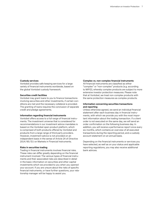#### **Custody services**

Vontobel provides safe keeping services for a large variety of financial instruments worldwide, based on the global Vontobel custody framework.

#### **Securities credit facilities**

Vontobel may grant loans to you to finance transactions involving securities and other investments, if certain conditions are met and the necessary collateral is provided. The granting of loans requires the conclusion of separate credit and pledge agreements.

#### **Information regarding financial instruments**

Vontobel offers access to a full range of financial instruments. The investment universe that is considered for recommendations in our investment advice mandates is based on the Vontobel open product platform, which is comprised of both products offered by Vontobel and products from a large range of third party providers. However, investment advice is not provided on an independent basis in the sense of Article 24 of Directive 2014/65/EU on Markets in Financial Instruments.

#### **Risks in securities trading**

Trading in financial instruments involves financial risks. These risks can differ greatly depending on the financial instrument involved. The various types of financial instruments and their associated risks are described in detail in the basic information on securities and other capital investments which we provided to you when you opened your account. If you are unsure about the risks of specific financial instruments, or have further questions, your relationship manager will be happy to assist you.

#### **Complex vs. non-complex financial instruments**

All financial instruments are classified as either "complex" or "non-complex" products (e.g. according to MiFID), whereby complex products are subject to more extensive investor protection measures. Please note that at Vontobel, we treat non-complex products with the same protection measures as complex products.

#### **Information concerning securities transactions and reporting**

Unless otherwise agreed, we send an individual financial statement after each business day in financial instruments, with which we provide you with the most important information about the trading transaction. If a client order is not executed on the same day, we will send an order confirmation on the following business day. In addition, you will receive a performance report once every six months, which contains an overview of all executed transactions during the reporting period, and a custody account statement on an annual basis.

Depending on the financial instruments or services you have selected, as well as on your status and applicable reporting regulations, you may also receive additional bank advices.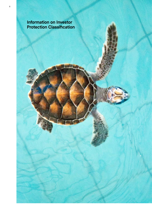**Information on Investor Protection Classification**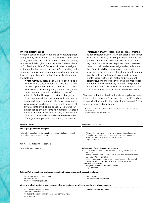#### **Offered classifications**

Vontobel assigns a classification to each natural person or legal entity that is entitled to submit orders (the "order giver"). Vontobel classifies all persons and legal entities, who are entitled to give orders, as either "private clients" or "professional clients". Each classification is assigned a different level of investor protection (e. g. relating to the extent of suitability and appropriateness testing, mandatory pre-trade client information, financial instruments available etc.).

- **Private clients:** By default, you will be classified as a private client, a classification that gives you the highest level of protection. Private clients are to be given extensive information regarding product risk (financial instrument information and risk disclosure), suitability (suitability report), cost and charges, and other parameters before we can provide a service or execute a trade <sup>1</sup> . The range of financial instruments available is generally limited to products targeted at private clients or which are explicitly registered for distribution to private clients (target market). Certain services or financial instruments may be judged not suitable for private clients and will therefore not be offered, for example securities lending transactions.
- *Professional clients:* Professional clients are treated as sophisticated investors who are eligible for a larger investment universe, including financial products targeted at professional clients only or which are not registered for distribution to private clients. However, based on their level of knowledge and experience and their financial ability to bear losses they receive a lower level of investor protection. For example, professional clients are not subject to pre-trade assessments regarding their risk profile and investment objectives, nor do they receive certain pre-trade documentation such as suitability reporting and product information sheets. Please see the detailed comparison of the offered classifications in the table below.

Please note that the classification above applies for investor protection purposes (e.g. according to MiFID) and not for classification due to other regulations such as FATCA<sup>2</sup> or any tax laws and regulations.

We will provide this information as it becomes relevant for you due to regulatory requirements

<sup>2</sup> Foreign Account Tax Compliance Act

| <b>PRIVATE CLIENT</b>                                                                                                                 | <b>PROFESSIONAL CLIENT</b>                                                                                                                                                                                                                                                                                                                                                                                                                    |
|---------------------------------------------------------------------------------------------------------------------------------------|-----------------------------------------------------------------------------------------------------------------------------------------------------------------------------------------------------------------------------------------------------------------------------------------------------------------------------------------------------------------------------------------------------------------------------------------------|
| The target group of the category                                                                                                      |                                                                                                                                                                                                                                                                                                                                                                                                                                               |
| In the absence of any other classification, Vontobel considers all<br>order givers to be private clients.                             | Private clients with medium to high transaction volumes, or<br>Financial intermediaries such as trustees, asset managers,<br>family offices and insurance companies, or<br>Large companies                                                                                                                                                                                                                                                    |
| You meet the following requirements                                                                                                   |                                                                                                                                                                                                                                                                                                                                                                                                                                               |
| No special requirements                                                                                                               | At least two of the following three criteria:<br>On average, at least 10 transactions of a significant volume<br>per quarter<br>Bank balances and financial instruments with a value at least<br>EUR 500,000 or equivalent<br>At least one year of experience in a profession in the capital<br>market, requiring knowledge of financial instruments<br>or alternatively you are:<br>A regulated financial intermediary or a<br>Large company |
| Before offering investment advice and executing transactions, we will assess the following                                            |                                                                                                                                                                                                                                                                                                                                                                                                                                               |
| Your knowledge and experience<br>Your risk profile<br>Your investment obiectives                                                      | Your risk profile<br>Your investment objectives                                                                                                                                                                                                                                                                                                                                                                                               |
| When providing investment advice or executing transactions, we will send you the following documents                                  |                                                                                                                                                                                                                                                                                                                                                                                                                                               |
| Schedule of transaction costs<br>Declaration of suitability<br>Product or basic information sheets, as per regulatory<br>requirements | Transaction costs statement                                                                                                                                                                                                                                                                                                                                                                                                                   |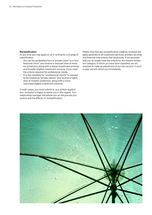#### **Reclassification**

At any time you may apply to us in writing for a change of classification.

- You can be reclassified from a "private client" to a "professional client" and receive a reduced level of investor protection, along with a leaner investment process and broader eligible investment universe, if you meet the criteria required for professional clients.
- It is also possible for "professional clients" to request to be treated as "private clients" and receive a higher level of investor protection, along with a more restricted eligible investment universe.

In both cases, you must submit to us a written application. Vontobel is happy to assist you in this regard. Your relationship manager will advise you on the precise procedure and the effects of reclassification.

Please note that any reclassification made by Vontobel will apply generally to all investment services, ancillary services and financial instruments that we provide. If we ascertain that you no longer meet the criteria for the investor protection category in which you have been classified, we are required to make an adjustment of our own accord. In such a case, we will inform you immediately.

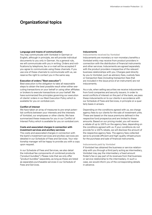### **Organizational topics**

#### **Language and means of communication**

You may communicate with Vontobel in German or English, although in principle, we will provide individual documents to you only in German. As a general rule, we will communicate with you in writing. Orders and notifications by telephone, fax or e-mail will be accepted if you agree to communicate using these channels. If you use one of these channels to communicate with us, we reserve the right to contact you in the same way.

#### **Execution of orders ("Best execution")**

Best execution is the obligation to take all reasonable steps to obtain the best possible result when either executing transactions on your behalf or using other affiliates or brokers to execute transactions on your behalf. We have summarized the principles governing our execution of clients' orders in our Best Execution Policy which is available for you on vontobel.com.

#### **Conflict of interest**

We have taken an array of measures to pre-empt potential conflicts between your interests and the interests of Vontobel, our employees or other clients. We have summarized these measures for you in our Conflict of Interest Policy which is available for you on vontobel.com.

#### **Costs and associated charges in connection with investment services and ancillary services**

The costs and associated charges in connection with the bank's investment services and ancillary services are detailed in our Schedule of Fees and Services. Your relationship manager will be happy to provide you with a copy upon request.

In our Schedule of Fees and Services, we also detail the individual fee components of combined products ("product bundles"). Please note that we only offer "product bundles" separately, as long as these are listed as separately purchasable services in our Schedule of Fees and Services.

#### **Inducements**

**Inducements received by Vontobel**

Inducements are monetary or non-monetary benefits a Vontobel entity may receive from product providers in connection with the distribution of financial instruments and other services. Inducements are agreed separately with the product providers irrespective of the relevant business relationships with you. Charges paid directly by you to Vontobel, such as advisory fees, custody fees or transaction fees (including transaction fees that are included in the issue price of an instrument) are not inducements.

As a rule, when selling securities we receive inducements from fund companies and security issuers. In order to avoid conflicts of interest on the part of the bank, we pass these inducements on to our clients in accordance with our Schedule of Fees and Services, in principle on a quarterly basis in arrears.

Depending on the conditions agreed with us, we charge agency fees to our clients for the sale of investment units. These are based on the issue premiums defined in the respective fund prospectus and are limited to these amounts. Based on our pricing model, you will receive a rebate of up to 100% on the agency fees, depending on the conditions agreed with us. If your conditions do not provide for a 100% rebate, we will disclose the amount of the respective agency fees. The agency fees collected serve to provide efficient and high-quality infrastructure for the purchase and sale of financial instruments.

#### **Inducements paid by Vontobel**

If Vontobel has obtained the business or service relationship with you through a third party acting as intermediary, Vontobel may pay the intermediary a fixed amount finder's fee or pay part of its revenues from that business or service relationship to the intermediary. In such a case, we would inform you of the corresponding details in advance.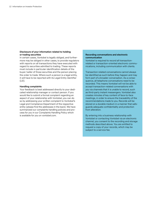#### **Disclosure of your information related to holding or trading securities**

In certain cases, Vontobel is legally obliged, and furthermore may be obliged in other cases, to provide regulators with reports on all transactions they have executed with regard to securities admitted to trading. These reports must include in particular identification details of the buyer /seller of those securities and the person placing the order to trade. Where such a person is a legal entity, it will have to be reported with its Legal Entity Identifier (LEI).

#### **Handling complaints**

Your feedback is best addressed directly to your dedicated relationship manager or contact person. If you would like to submit a formal complaint regarding an aspect of your relationship with Vontobel, you can do so by addressing your written complaint to Vontobel's Legal and Compliance Department of the respective entity (please find the addresses in the back). We have summarized our complaints handling policies and process for you in our Complaints Handling Policy which is available for you on vontobel.com.

#### **Recording conversations and electronic communication**

Vontobel is required to record all transactionrelated or transaction-oriented electronic communications, including communication with clients.

Transaction-related conversations cannot always be identified as such before they happen and may form part of a broader conversation. As a consequence, all telephone conversations need to be recorded. This means Vontobel will not be able to accept transaction-related conversations with you via channels that it is unable to record, such as third-party instant messengers. Vontobel also creates minutes of key content of face-to-face meetings, in order to ensure the traceability of the recommendations made to you. Records will be stored on a durable medium in a manner that safeguards adequate confidentiality and protection from alteration.

By entering into a business relationship with Vontobel or contacting Vontobel via an electronic channel, you consent to the recording and storage methods described above. You are entitled to request a copy of your records, which may be subject to a service fee.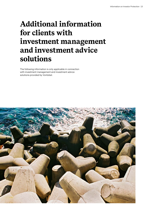# **Additional information for clients with investment management and investment advice solutions**

The following information is only applicable in connection with investment management and investment advice solutions provided by Vontobel.

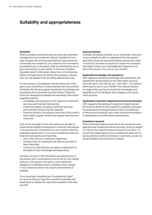### **Suitability and appropriateness**

#### **Suitability**

When providing investment services such as investment management and investment advice, Vontobel will consider whether the services and financial instruments recommended are suitable for you, based on the information provided by you or the person that is authorized by you to give instructions on your behalf. To this end, Vontobel requests specific information about your circumstances. Where Vontobel does not obtain the necessary information, we may abstain from providing advised services.

For this reason, it is obligatory that all clients and order givers who would like to receive advised services provide Vontobel with the duly signed Investment Knowledge and Experience form as well as the Risk Profile. These two forms are designed to evaluate the necessary information regarding client's:

- knowledge and experience with regard to investment services and financial instruments;
- investment goals, including investment purpose, planned time horizon and risk appetite;
- financial situation, including an overview of the client's total assets, regular income and regular financial commitments.

Only on the strength of this information are we able to recommend suitable transactions in financial instruments or to execute such transactions on your behalf under the respective agreements. In our view, suitable services and financial instruments are those that:

- are in line with your investment objectives;
- involve a level of investment risk that you are able to bear financially;
- involve only risks that you are able to understand on the basis of your knowledge and experience.

Vontobel will rely on the information provided by you or the person who is authorized by you to act on your behalf and you or the person who acts on your behalf are obliged to immediately inform Vontobel of any change in circumstances which may require amendments or updates.

If you have been classified as a "professional client", we assume that you have the requisite knowledge and experience to assess the respective suitability and risks yourself.

#### **Appropriateness**

Vontobel will assess whether you or the person who acts on your behalf are able to understand the risks associated with a financial instrument before placing the order. To that end, Vontobel is required to obtain the necessary information about your knowledge and experience (or that of the person who acts on your behalf).

#### **Applicable knowledge and experience**

With regard to checking knowledge and experience, the assessment will be based on the information given by the order giver. This may be you – the client – or a person authorized to act on your behalf. If the relevant person is a legal entity, we have to know the knowledge and experience of all individuals who engage us for investment services.

#### **Applicable investment objectives and financial situation**

With regard to the testing of investment objectives and the financial ability to bear losses for suitability purposes, the assessment is always based on the circumstances of the account holder(s), even when the recommendation is addressed to an authorized representative.

#### **Investment research**

Where Vontobel selects products for its investment management and investment advice services, we do so based on internal and selected external research providers. To ensure the independence of our investment views and to avoid potential conflicts of interest, in principle, we do not accept research services free of charge.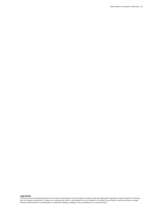#### **Legal Notice**

This brochure is intended exclusively to inform clients about how Vontobel complies with the applicable regulatory requirements for information on investor protection. It does not constitute an offer or solicitation by or on behalf of Vontobel to purchase or sell securities or similar financial instruments, to participate in a specific trading strategy in any jurisdiction or to use services.